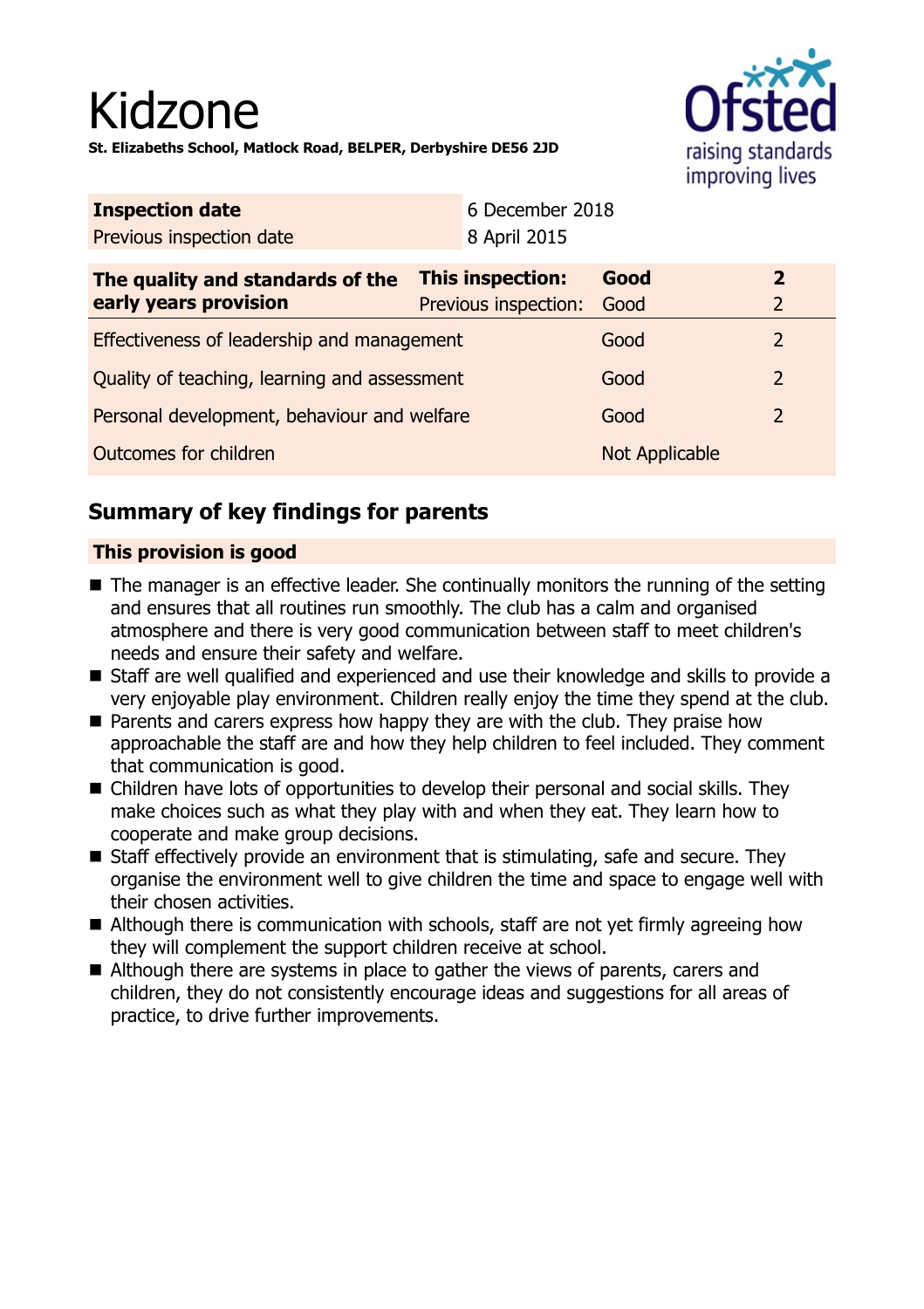# Kidzone **St. Elizabeths School, Matlock Road, BELPER, Derbyshire DE56 2JD**



| <b>Inspection date</b>   | 6 December 2018 |
|--------------------------|-----------------|
| Previous inspection date | 8 April 2015    |

| The quality and standards of the<br>early years provision | <b>This inspection:</b><br>Previous inspection: | Good<br>Good          | $\mathbf{2}$  |
|-----------------------------------------------------------|-------------------------------------------------|-----------------------|---------------|
| Effectiveness of leadership and management                |                                                 | Good                  |               |
| Quality of teaching, learning and assessment              |                                                 | Good                  | $\mathcal{P}$ |
| Personal development, behaviour and welfare               |                                                 | Good                  |               |
| Outcomes for children                                     |                                                 | <b>Not Applicable</b> |               |

## **Summary of key findings for parents**

### **This provision is good**

- $\blacksquare$  The manager is an effective leader. She continually monitors the running of the setting and ensures that all routines run smoothly. The club has a calm and organised atmosphere and there is very good communication between staff to meet children's needs and ensure their safety and welfare.
- Staff are well qualified and experienced and use their knowledge and skills to provide a very enjoyable play environment. Children really enjoy the time they spend at the club.
- Parents and carers express how happy they are with the club. They praise how approachable the staff are and how they help children to feel included. They comment that communication is good.
- Children have lots of opportunities to develop their personal and social skills. They make choices such as what they play with and when they eat. They learn how to cooperate and make group decisions.
- Staff effectively provide an environment that is stimulating, safe and secure. They organise the environment well to give children the time and space to engage well with their chosen activities.
- $\blacksquare$  Although there is communication with schools, staff are not yet firmly agreeing how they will complement the support children receive at school.
- $\blacksquare$  Although there are systems in place to gather the views of parents, carers and children, they do not consistently encourage ideas and suggestions for all areas of practice, to drive further improvements.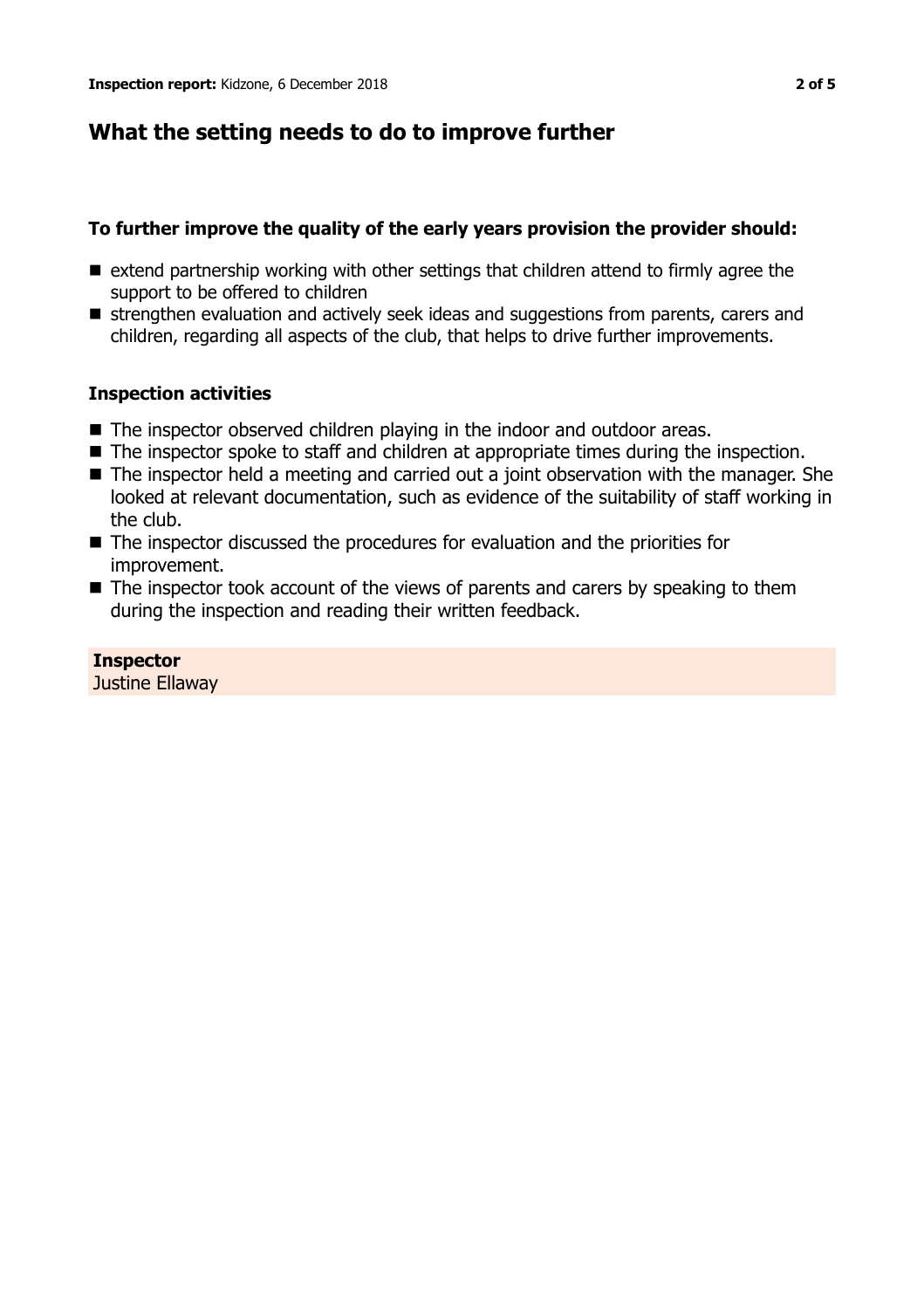## **What the setting needs to do to improve further**

#### **To further improve the quality of the early years provision the provider should:**

- $\blacksquare$  extend partnership working with other settings that children attend to firmly agree the support to be offered to children
- strengthen evaluation and actively seek ideas and suggestions from parents, carers and children, regarding all aspects of the club, that helps to drive further improvements.

#### **Inspection activities**

- $\blacksquare$  The inspector observed children playing in the indoor and outdoor areas.
- $\blacksquare$  The inspector spoke to staff and children at appropriate times during the inspection.
- The inspector held a meeting and carried out a joint observation with the manager. She looked at relevant documentation, such as evidence of the suitability of staff working in the club.
- $\blacksquare$  The inspector discussed the procedures for evaluation and the priorities for improvement.
- The inspector took account of the views of parents and carers by speaking to them during the inspection and reading their written feedback.

#### **Inspector**

Justine Ellaway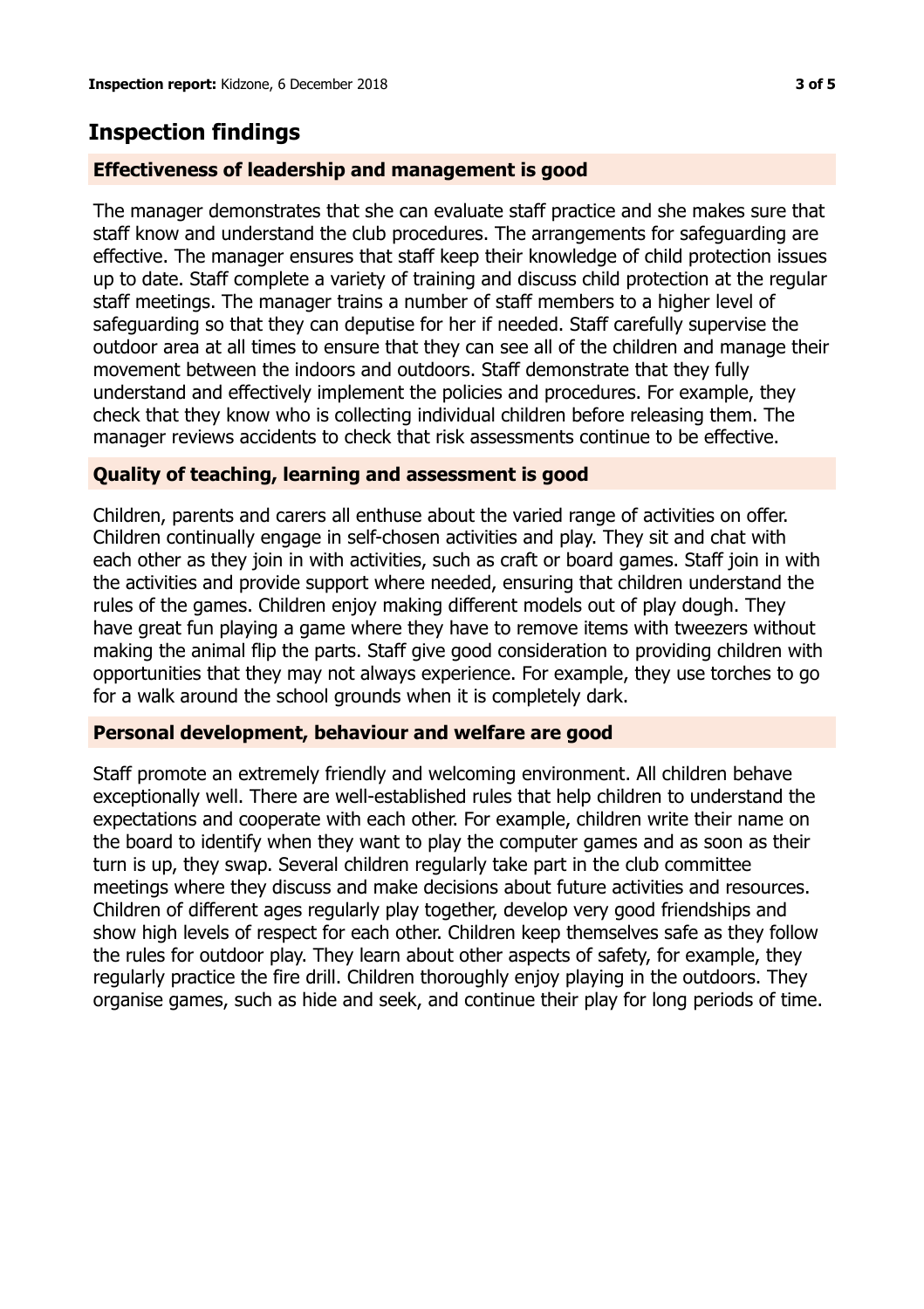## **Inspection findings**

#### **Effectiveness of leadership and management is good**

The manager demonstrates that she can evaluate staff practice and she makes sure that staff know and understand the club procedures. The arrangements for safeguarding are effective. The manager ensures that staff keep their knowledge of child protection issues up to date. Staff complete a variety of training and discuss child protection at the regular staff meetings. The manager trains a number of staff members to a higher level of safeguarding so that they can deputise for her if needed. Staff carefully supervise the outdoor area at all times to ensure that they can see all of the children and manage their movement between the indoors and outdoors. Staff demonstrate that they fully understand and effectively implement the policies and procedures. For example, they check that they know who is collecting individual children before releasing them. The manager reviews accidents to check that risk assessments continue to be effective.

#### **Quality of teaching, learning and assessment is good**

Children, parents and carers all enthuse about the varied range of activities on offer. Children continually engage in self-chosen activities and play. They sit and chat with each other as they join in with activities, such as craft or board games. Staff join in with the activities and provide support where needed, ensuring that children understand the rules of the games. Children enjoy making different models out of play dough. They have great fun playing a game where they have to remove items with tweezers without making the animal flip the parts. Staff give good consideration to providing children with opportunities that they may not always experience. For example, they use torches to go for a walk around the school grounds when it is completely dark.

#### **Personal development, behaviour and welfare are good**

Staff promote an extremely friendly and welcoming environment. All children behave exceptionally well. There are well-established rules that help children to understand the expectations and cooperate with each other. For example, children write their name on the board to identify when they want to play the computer games and as soon as their turn is up, they swap. Several children regularly take part in the club committee meetings where they discuss and make decisions about future activities and resources. Children of different ages regularly play together, develop very good friendships and show high levels of respect for each other. Children keep themselves safe as they follow the rules for outdoor play. They learn about other aspects of safety, for example, they regularly practice the fire drill. Children thoroughly enjoy playing in the outdoors. They organise games, such as hide and seek, and continue their play for long periods of time.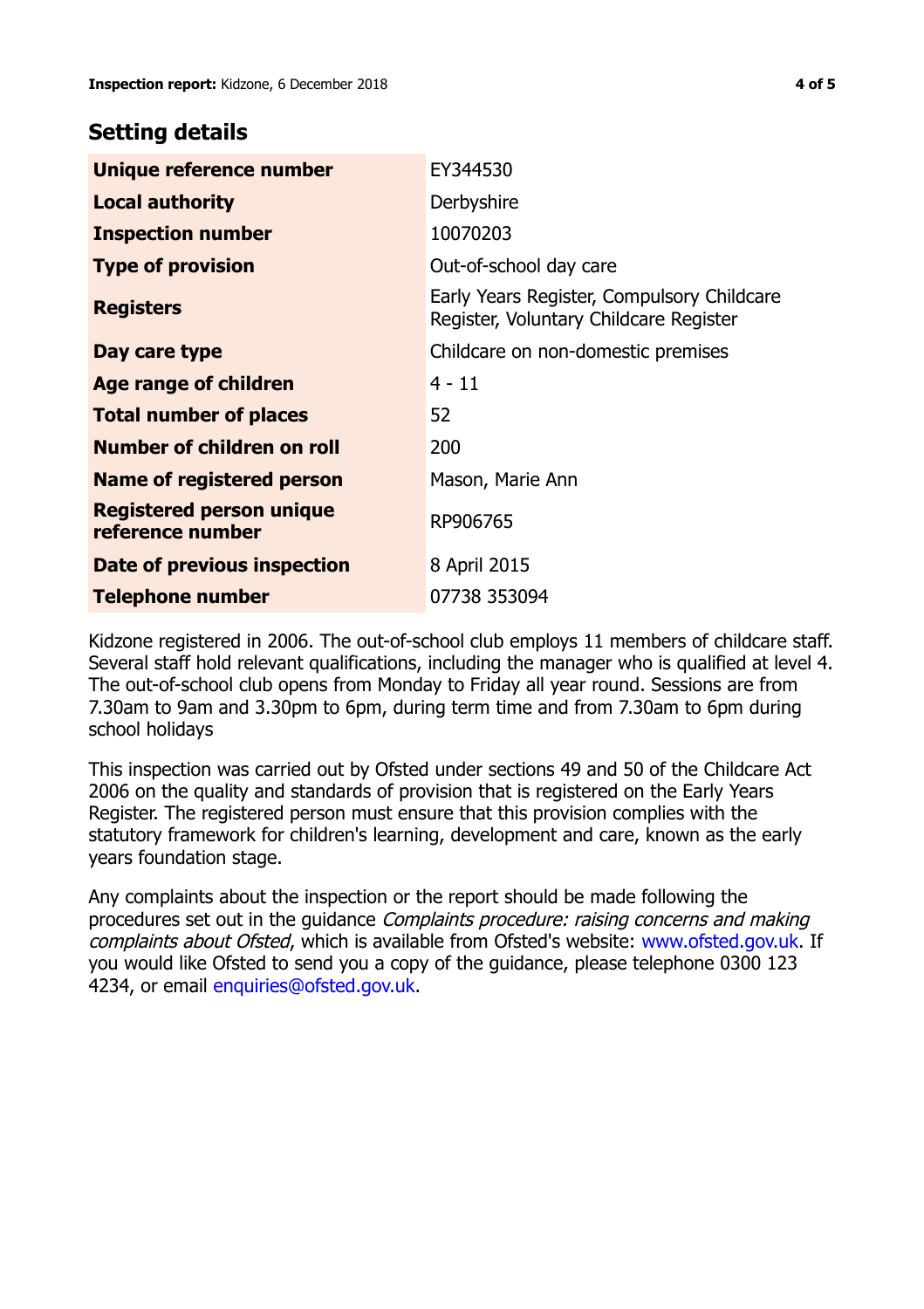## **Setting details**

| Unique reference number                             | EY344530                                                                             |
|-----------------------------------------------------|--------------------------------------------------------------------------------------|
| <b>Local authority</b>                              | Derbyshire                                                                           |
| <b>Inspection number</b>                            | 10070203                                                                             |
| <b>Type of provision</b>                            | Out-of-school day care                                                               |
| <b>Registers</b>                                    | Early Years Register, Compulsory Childcare<br>Register, Voluntary Childcare Register |
| Day care type                                       | Childcare on non-domestic premises                                                   |
| <b>Age range of children</b>                        | $4 - 11$                                                                             |
| <b>Total number of places</b>                       | 52                                                                                   |
| Number of children on roll                          | 200                                                                                  |
| Name of registered person                           | Mason, Marie Ann                                                                     |
| <b>Registered person unique</b><br>reference number | RP906765                                                                             |
| Date of previous inspection                         | 8 April 2015                                                                         |
| Telephone number                                    | 07738 353094                                                                         |

Kidzone registered in 2006. The out-of-school club employs 11 members of childcare staff. Several staff hold relevant qualifications, including the manager who is qualified at level 4. The out-of-school club opens from Monday to Friday all year round. Sessions are from 7.30am to 9am and 3.30pm to 6pm, during term time and from 7.30am to 6pm during school holidays

This inspection was carried out by Ofsted under sections 49 and 50 of the Childcare Act 2006 on the quality and standards of provision that is registered on the Early Years Register. The registered person must ensure that this provision complies with the statutory framework for children's learning, development and care, known as the early years foundation stage.

Any complaints about the inspection or the report should be made following the procedures set out in the guidance Complaints procedure: raising concerns and making complaints about Ofsted, which is available from Ofsted's website: www.ofsted.gov.uk. If you would like Ofsted to send you a copy of the guidance, please telephone 0300 123 4234, or email [enquiries@ofsted.gov.uk.](mailto:enquiries@ofsted.gov.uk)